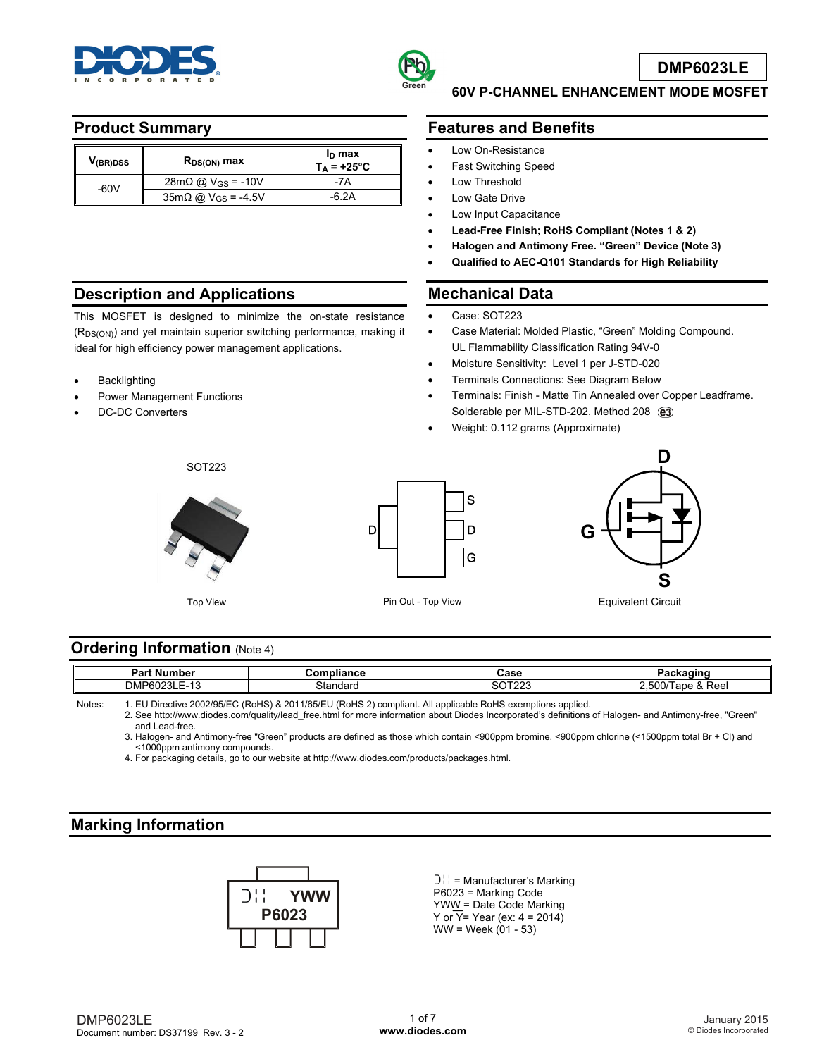



## **Product Summary**

| V <sub>(BR)DSS</sub> | $R_{DS(ON)}$ max                              | $I_D$ max<br>$T_A = +25^{\circ}C$ |
|----------------------|-----------------------------------------------|-----------------------------------|
| -60V                 | $28mΩ @ V_{GS} = -10V$                        | -7A                               |
|                      | $35 \text{m}\Omega$ @ V <sub>GS</sub> = -4.5V |                                   |

### **Description and Applications**

This MOSFET is designed to minimize the on-state resistance (R<sub>DS(ON)</sub>) and yet maintain superior switching performance, making it ideal for high efficiency power management applications.

- Backlighting
- Power Management Functions
- DC-DC Converters

# **Features and Benefits**

**60V P-CHANNEL ENHANCEMENT MODE MOSFET** 

- Low On-Resistance
- Fast Switching Speed
- Low Threshold
- Low Gate Drive
- Low Input Capacitance
- **Lead-Free Finish; RoHS Compliant (Notes 1 & 2)**
- **Halogen and Antimony Free. "Green" Device (Note 3)**
- **Qualified to AEC-Q101 Standards for High Reliability**

#### **Mechanical Data**

- Case: SOT223
- Case Material: Molded Plastic, "Green" Molding Compound. UL Flammability Classification Rating 94V-0
- Moisture Sensitivity: Level 1 per J-STD-020
- Terminals Connections: See Diagram Below
- Terminals: Finish Matte Tin Annealed over Copper Leadframe. Solderable per MIL-STD-202, Method 208 @3
- Weight: 0.112 grams (Approximate)

SOT223







Equivalent Circuit

## **Ordering Information (Note 4)**

| Do r<br>---<br>nue<br>. .                                      | $-1$ iana $-$ | Case                              | ------                                                                               |
|----------------------------------------------------------------|---------------|-----------------------------------|--------------------------------------------------------------------------------------|
| DMP <sub>6</sub><br>$\overline{\phantom{a}}$<br>-------<br>. . | stondore      | $\sim$ $\sim$ $\sim$ $\sim$<br>ъ. | $\sim$ $\sim$ $\sim$ $\sim$<br>⊿⊿⊂<br>n n<br>ncc.<br>. .<br>$\overline{\phantom{a}}$ |
|                                                                |               |                                   |                                                                                      |

Notes: 1. EU Directive 2002/95/EC (RoHS) & 2011/65/EU (RoHS 2) compliant. All applicable RoHS exemptions applied.

2. See [http://www.diodes.com/quality/lead\\_free.html fo](http://www.diodes.com/quality/lead_free.html)r more information about Diodes Incorporated's definitions of Halogen- and Antimony-free, "Green"

 and Lead-free. 3. Halogen- and Antimony-free "Green" products are defined as those which contain <900ppm bromine, <900ppm chlorine (<1500ppm total Br + Cl) and <1000ppm antimony compounds.

4. For packaging details, go to our website at [http://www.diodes.com/products/packages.html.](http://www.diodes.com/products/packages.html) 

## **Marking Information**



 $[3!] =$  Manufacturer's Marking P6023 = Marking Code YWW = Date Code Marking Y or  $\overline{Y}$ = Year (ex: 4 = 2014)  $WW = \text{Week} (01 - 53)$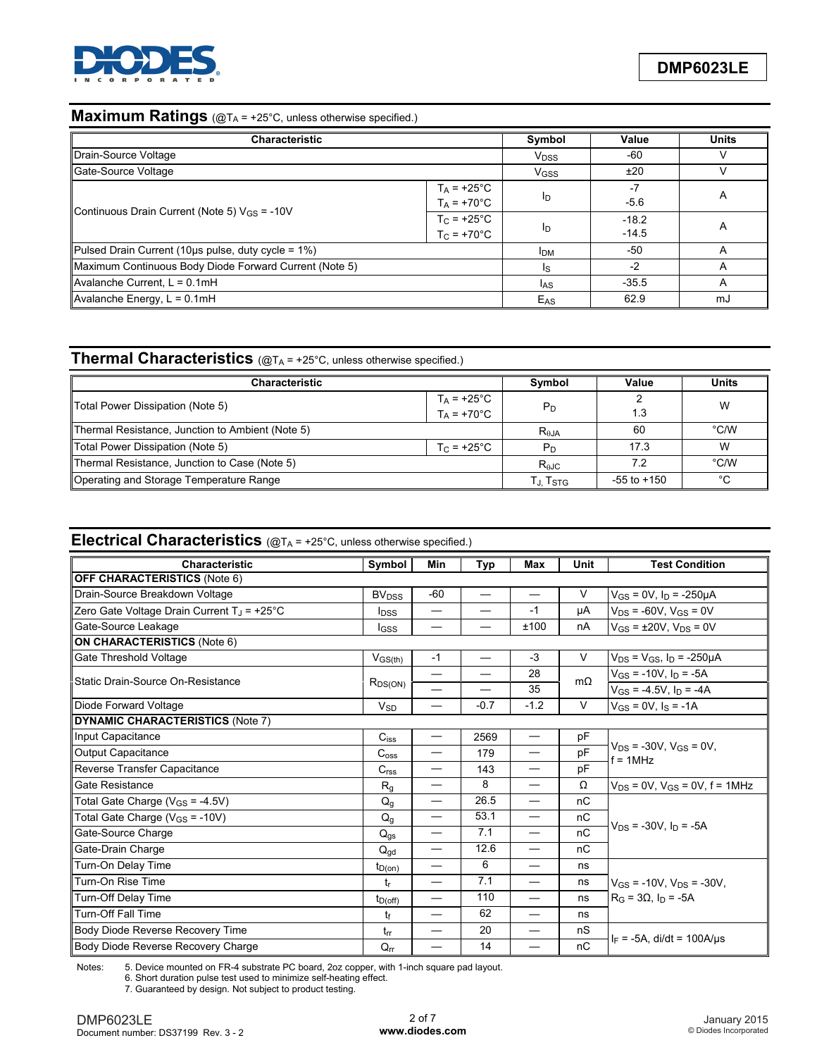

# **Maximum Ratings** (@T<sub>A</sub> = +25°C, unless otherwise specified.)

| <b>Characteristic</b>                                    | Symbol                                      | Value                  | <b>Units</b>       |   |
|----------------------------------------------------------|---------------------------------------------|------------------------|--------------------|---|
| Drain-Source Voltage                                     |                                             | <b>V<sub>DSS</sub></b> | -60                |   |
| Gate-Source Voltage                                      |                                             | V <sub>GSS</sub>       | ±20                | V |
| Continuous Drain Current (Note 5) $V_{GS}$ = -10V        | $T_A$ = +25°C<br>$T_A = +70^{\circ}C$       | ID                     | -7<br>$-5.6$       | A |
|                                                          | $T_{\rm C}$ = +25°C<br>$T_C = +70^{\circ}C$ | ID                     | $-18.2$<br>$-14.5$ | A |
| Pulsed Drain Current (10 $\mu$ s pulse, duty cycle = 1%) | <b>IDM</b>                                  | -50                    | A                  |   |
| Maximum Continuous Body Diode Forward Current (Note 5)   | Is                                          | $-2$                   | A                  |   |
| Avalanche Current, $L = 0.1$ mH                          | l <sub>AS</sub>                             | $-35.5$                | A                  |   |
| Avalanche Energy, $L = 0.1$ mH                           | E <sub>AS</sub>                             | 62.9                   | mJ                 |   |

# **Thermal Characteristics** (@T<sub>A</sub> = +25°C, unless otherwise specified.)

| <b>Characteristic</b>                                    | Symbol                                  | Value          | <b>Units</b>    |               |
|----------------------------------------------------------|-----------------------------------------|----------------|-----------------|---------------|
| Total Power Dissipation (Note 5)                         | $T_A$ = +25°C<br>T <sub>A</sub> = +70°C | $P_D$          | 1.3             | W             |
| Thermal Resistance, Junction to Ambient (Note 5)         |                                         | $R_{\theta$ JA | 60              | $\degree$ C/W |
| Total Power Dissipation (Note 5)<br>T $_{\rm C}$ = +25°C |                                         | P <sub>D</sub> | 17.3            | W             |
| Thermal Resistance, Junction to Case (Note 5)            | $R_{\theta$ JC                          | 72             | $\degree$ C/W   |               |
| Operating and Storage Temperature Range                  |                                         | Tj. Tstg       | $-55$ to $+150$ | °C            |

## **Electrical Characteristics** (@TA = +25°C, unless otherwise specified.)

| Symbol<br>Characteristic                               |                         | Min                      | Typ                      | Max                            | Unit      | <b>Test Condition</b>                          |  |
|--------------------------------------------------------|-------------------------|--------------------------|--------------------------|--------------------------------|-----------|------------------------------------------------|--|
| <b>OFF CHARACTERISTICS (Note 6)</b>                    |                         |                          |                          |                                |           |                                                |  |
| Drain-Source Breakdown Voltage                         | <b>BV<sub>DSS</sub></b> | $-60$                    |                          |                                | V         | $V_{GS} = 0V$ , $I_D = -250 \mu A$             |  |
| Zero Gate Voltage Drain Current T <sub>J</sub> = +25°C | <b>I</b> <sub>DSS</sub> |                          |                          | $-1$                           | μA        | $V_{DS}$ = -60V, $V_{GS}$ = 0V                 |  |
| Gate-Source Leakage                                    | lgss                    |                          |                          | ±100                           | nA        | $V_{GS}$ = ±20V, $V_{DS}$ = 0V                 |  |
| ON CHARACTERISTICS (Note 6)                            |                         |                          |                          |                                |           |                                                |  |
| Gate Threshold Voltage                                 | $V_{GS(th)}$            | $-1$                     | $\overline{\phantom{0}}$ | $-3$                           | $\vee$    | $V_{DS} = V_{GS}$ , $I_D = -250 \mu A$         |  |
| Static Drain-Source On-Resistance                      |                         | $\overline{\phantom{0}}$ |                          | 28                             | $m\Omega$ | $V_{GS}$ = -10V, $I_D$ = -5A                   |  |
|                                                        | $R_{DS(ON)}$            | $\overline{\phantom{0}}$ |                          | 35                             |           | $V_{GS} = -4.5V$ , $I_D = -4A$                 |  |
| Diode Forward Voltage                                  | $V_{SD}$                | $\overline{\phantom{0}}$ | $-0.7$                   | $-1.2$                         | $\vee$    | $V_{GS} = 0V$ , $I_S = -1A$                    |  |
| DYNAMIC CHARACTERISTICS (Note 7)                       |                         |                          |                          |                                |           |                                                |  |
| Input Capacitance                                      | $C_{iss}$               |                          | 2569                     | $\overline{\phantom{0}}$       | pF        |                                                |  |
| Output Capacitance                                     |                         | $\overline{\phantom{0}}$ | 179                      |                                | pF        | $V_{DS}$ = -30V, $V_{GS}$ = 0V,<br>$f = 1$ MHz |  |
| Reverse Transfer Capacitance                           | C <sub>rss</sub>        | —                        | 143                      | —                              | pF        |                                                |  |
| Gate Resistance                                        | $R_{q}$                 | —                        | 8                        |                                | $\Omega$  | $V_{DS} = 0V$ . $V_{GS} = 0V$ . $f = 1MHz$     |  |
| Total Gate Charge $(V_{GS} = -4.5V)$                   | $Q_{q}$                 | $\overline{\phantom{0}}$ | 26.5                     | $\overline{\phantom{0}}$       | nC        |                                                |  |
| Total Gate Charge ( $V_{GS}$ = -10V)                   |                         |                          | 53.1                     | $\overbrace{\phantom{123321}}$ | nC        |                                                |  |
| Gate-Source Charge                                     | $Q_{gs}$                | $\overline{\phantom{0}}$ | 7.1                      |                                | nC        | $V_{DS}$ = -30V. In = -5A                      |  |
| Gate-Drain Charge                                      | $Q_{qd}$                | $\overline{\phantom{0}}$ | 12.6                     | —                              | nC        |                                                |  |
| Turn-On Delay Time                                     | $t_{D(0n)}$             | $\overline{\phantom{0}}$ | 6                        |                                | ns        |                                                |  |
| Turn-On Rise Time                                      | tr                      | —                        | 7.1                      | $\overline{\phantom{0}}$       | ns        | $V_{GS}$ = -10V, $V_{DS}$ = -30V,              |  |
| Turn-Off Delay Time                                    | $t_{D(off)}$            | $\overline{\phantom{0}}$ | 110                      |                                | ns        | $R_G = 3\Omega$ , $I_D = -5A$                  |  |
| <b>Turn-Off Fall Time</b>                              | tf                      | $\overline{\phantom{0}}$ | 62                       | $\overline{\phantom{0}}$       | ns        |                                                |  |
| Body Diode Reverse Recovery Time                       | $t_{rr}$                |                          | 20                       |                                | nS        |                                                |  |
| Body Diode Reverse Recovery Charge                     |                         |                          | 14                       |                                | nC        | $I_F = -5A$ , di/dt = 100A/us                  |  |

Notes: 5. Device mounted on FR-4 substrate PC board, 2oz copper, with 1-inch square pad layout. 6. Short duration pulse test used to minimize self-heating effect.

7. Guaranteed by design. Not subject to product testing.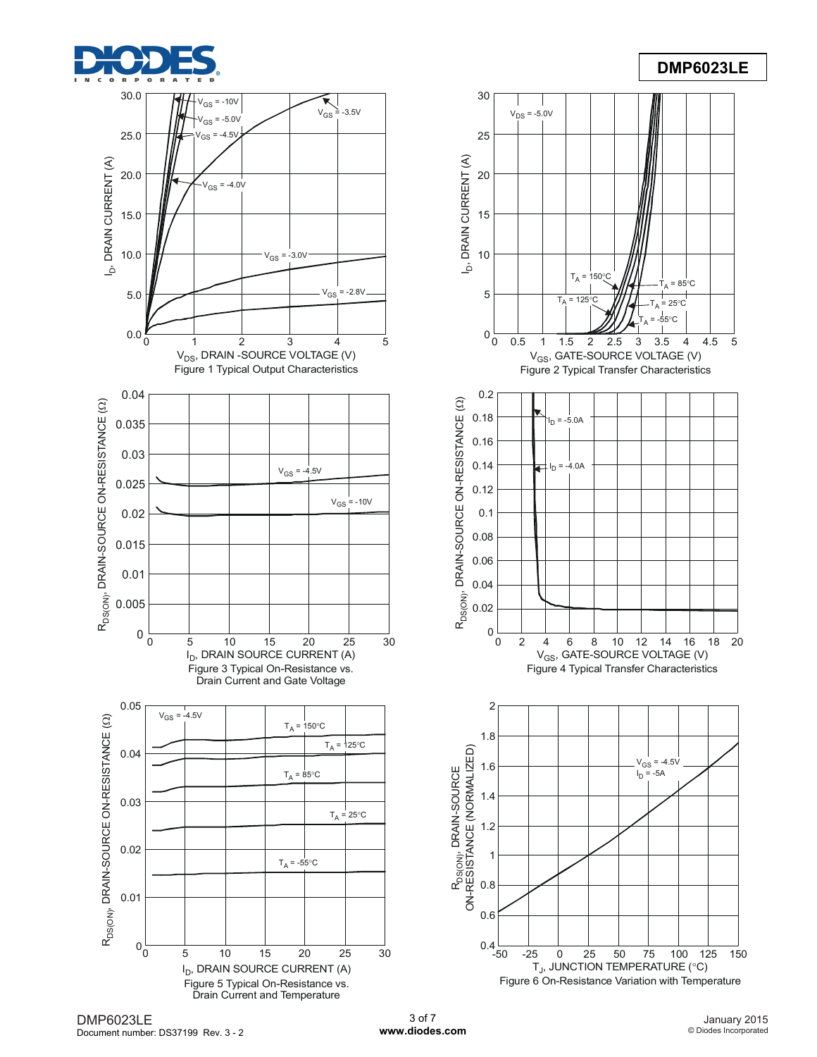

## **DMP6023LE**



DMP6023LE Document number: DS37199 Rev. 3 - 2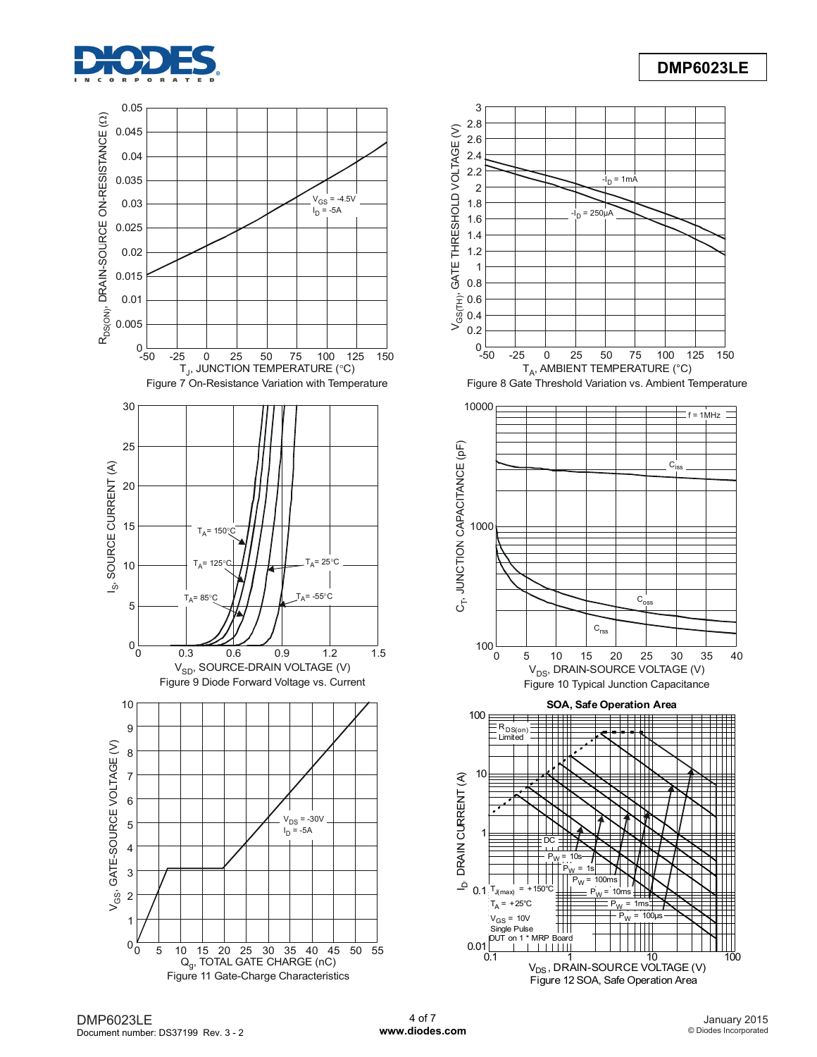



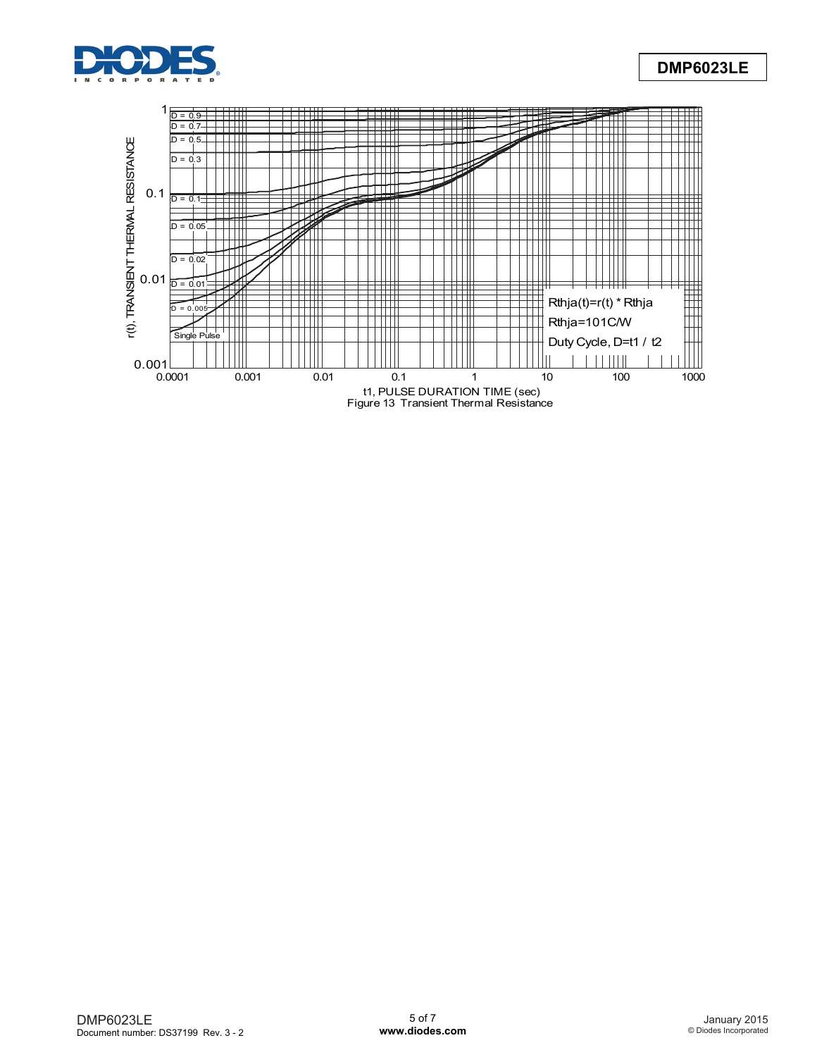

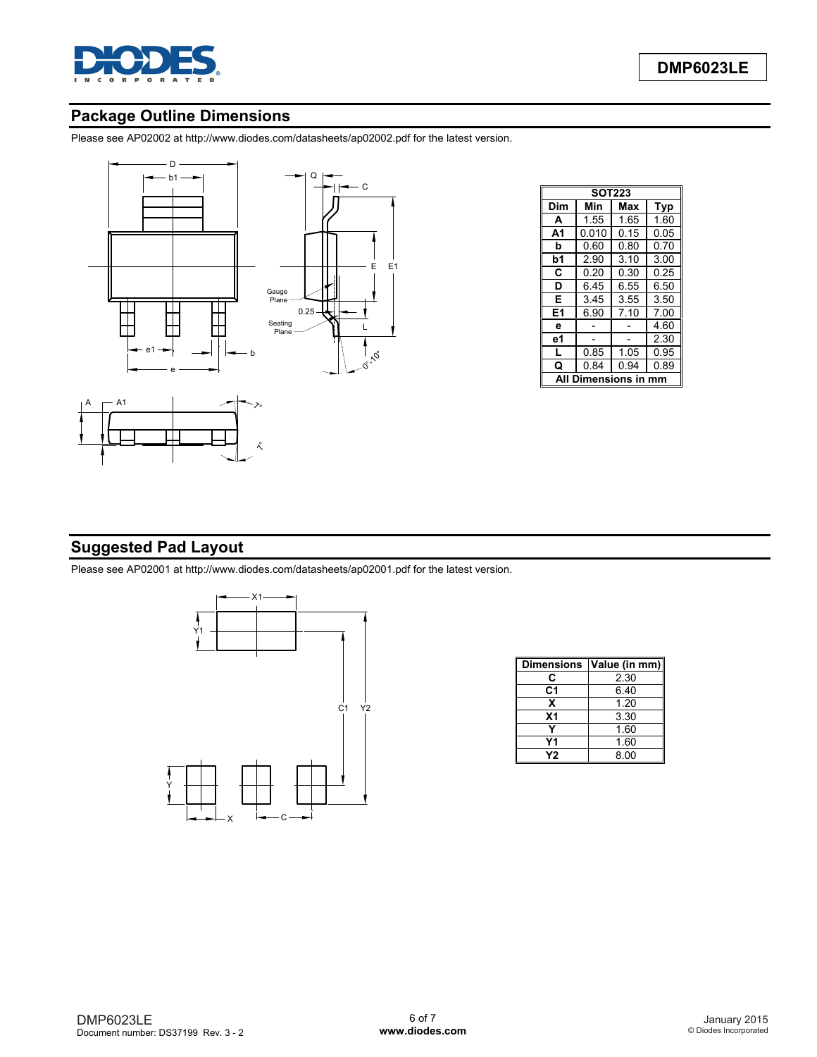

## **Package Outline Dimensions**

Please see AP02002 at [http://www.diodes.com/datasheets/ap02002.pdf fo](http://www.diodes.com/datasheets/ap02002.pdf)r the latest version.





|                  |      |  |           | E | E <sub>1</sub> |
|------------------|------|--|-----------|---|----------------|
| Gauge<br>Plane   |      |  |           |   |                |
| Seating<br>Plane | 0.25 |  | L<br>2.10 |   |                |

| <b>SOT223</b>  |       |      |      |  |  |
|----------------|-------|------|------|--|--|
| Dim            | Min   | Max  | Typ  |  |  |
| A              | 1.55  | 1.65 | 1.60 |  |  |
| A <sub>1</sub> | 0.010 | 0.15 | 0.05 |  |  |
| b              | 0.60  | 0.80 | 0.70 |  |  |
| b1             | 2.90  | 3.10 | 3.00 |  |  |
| C              | 0.20  | 0.30 | 0.25 |  |  |
| D              | 6.45  | 6.55 | 6.50 |  |  |
| Е              | 3.45  | 3.55 | 3.50 |  |  |
| E1             | 6.90  | 7.10 | 7.00 |  |  |
| е              |       |      | 4.60 |  |  |
| е1             |       |      | 2.30 |  |  |
| L              | 0.85  | 1.05 | 0.95 |  |  |
| Q              | 0.84  | 0.94 | 0.89 |  |  |
| Dimensions in  |       |      |      |  |  |

## **Suggested Pad Layout**

Please see AP02001 at [http://www.diodes.com/datasheets/ap02001.pdf fo](http://www.diodes.com/datasheets/ap02001.pdf)r the latest version.



| <b>Dimensions</b> | Value (in mm) |  |
|-------------------|---------------|--|
| C                 | 2.30          |  |
| C1                | 6.40          |  |
| x                 | 1.20          |  |
| X <sub>1</sub>    | 3.30          |  |
|                   | 1.60          |  |
| Υ1                | 1.60          |  |
| Υ2                | 8.00          |  |